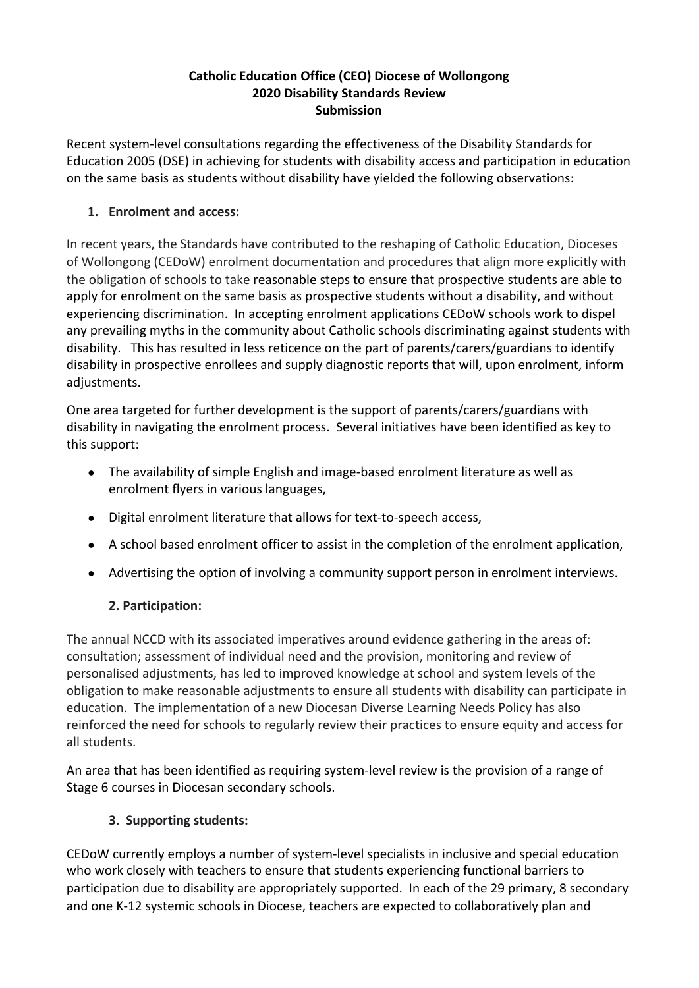#### **Catholic Education Office (CEO) Diocese of Wollongong 2020 Disability Standards Review Submission**

Recent system-level consultations regarding the effectiveness of the Disability Standards for Education 2005 (DSE) in achieving for students with disability access and participation in education on the same basis as students without disability have yielded the following observations:

## **1. Enrolment and access:**

In recent years, the Standards have contributed to the reshaping of Catholic Education, Dioceses of Wollongong (CEDoW) enrolment documentation and procedures that align more explicitly with the obligation of schools to take reasonable steps to ensure that prospective students are able to apply for enrolment on the same basis as prospective students without a disability, and without experiencing discrimination. In accepting enrolment applications CEDoW schools work to dispel any prevailing myths in the community about Catholic schools discriminating against students with disability. This has resulted in less reticence on the part of parents/carers/guardians to identify disability in prospective enrollees and supply diagnostic reports that will, upon enrolment, inform adjustments.

One area targeted for further development is the support of parents/carers/guardians with disability in navigating the enrolment process. Several initiatives have been identified as key to this support:

- The availability of simple English and image-based enrolment literature as well as enrolment flyers in various languages,
- Digital enrolment literature that allows for text-to-speech access,
- A school based enrolment officer to assist in the completion of the enrolment application,
- Advertising the option of involving a community support person in enrolment interviews.

## **2. Participation:**

The annual NCCD with its associated imperatives around evidence gathering in the areas of: consultation; assessment of individual need and the provision, monitoring and review of personalised adjustments, has led to improved knowledge at school and system levels of the obligation to make reasonable adjustments to ensure all students with disability can participate in education. The implementation of a new Diocesan Diverse Learning Needs Policy has also reinforced the need for schools to regularly review their practices to ensure equity and access for all students.

An area that has been identified as requiring system-level review is the provision of a range of Stage 6 courses in Diocesan secondary schools.

## **3. Supporting students:**

CEDoW currently employs a number of system-level specialists in inclusive and special education who work closely with teachers to ensure that students experiencing functional barriers to participation due to disability are appropriately supported. In each of the 29 primary, 8 secondary and one K-12 systemic schools in Diocese, teachers are expected to collaboratively plan and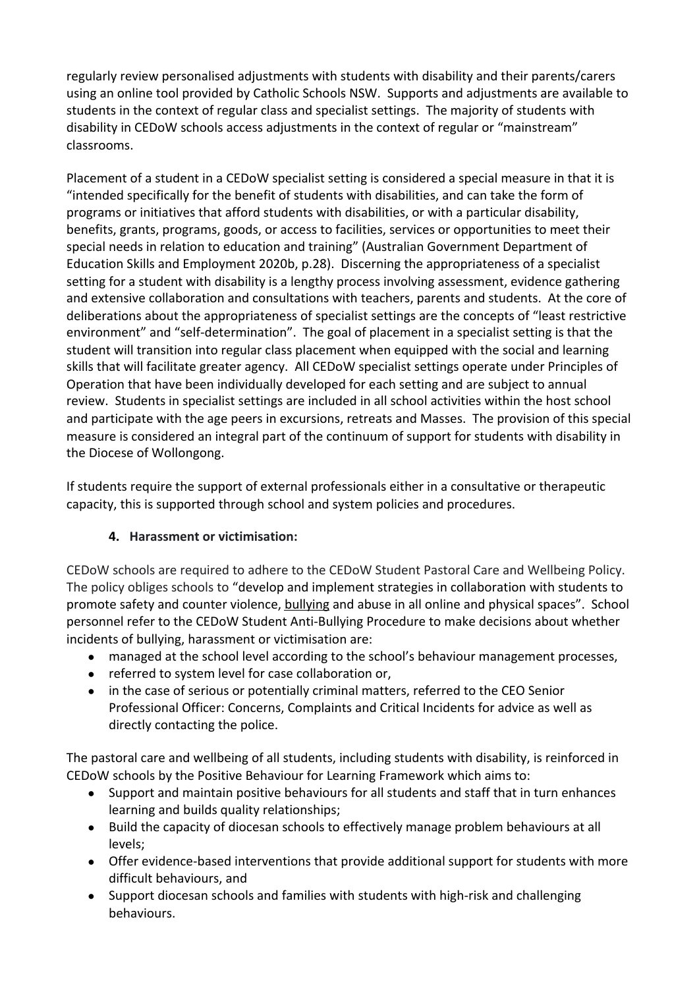regularly review personalised adjustments with students with disability and their parents/carers using an online tool provided by Catholic Schools NSW. Supports and adjustments are available to students in the context of regular class and specialist settings. The majority of students with disability in CEDoW schools access adjustments in the context of regular or "mainstream" classrooms.

Placement of a student in a CEDoW specialist setting is considered a special measure in that it is "intended specifically for the benefit of students with disabilities, and can take the form of programs or initiatives that afford students with disabilities, or with a particular disability, benefits, grants, programs, goods, or access to facilities, services or opportunities to meet their special needs in relation to education and training" (Australian Government Department of Education Skills and Employment 2020b, p.28). Discerning the appropriateness of a specialist setting for a student with disability is a lengthy process involving assessment, evidence gathering and extensive collaboration and consultations with teachers, parents and students. At the core of deliberations about the appropriateness of specialist settings are the concepts of "least restrictive environment" and "self-determination". The goal of placement in a specialist setting is that the student will transition into regular class placement when equipped with the social and learning skills that will facilitate greater agency. All CEDoW specialist settings operate under Principles of Operation that have been individually developed for each setting and are subject to annual review. Students in specialist settings are included in all school activities within the host school and participate with the age peers in excursions, retreats and Masses. The provision of this special measure is considered an integral part of the continuum of support for students with disability in the Diocese of Wollongong.

If students require the support of external professionals either in a consultative or therapeutic capacity, this is supported through school and system policies and procedures.

## **4. Harassment or victimisation:**

CEDoW schools are required to adhere to the CEDoW Student Pastoral Care and Wellbeing Policy. The policy obliges schools to "develop and implement strategies in collaboration with students to promote safety and counter violence, [bullying](https://www.dow.catholic.edu.au/about-us/policies/glossary/#g-276) and abuse in all online and physical spaces". School personnel refer to the CEDoW Student Anti-Bullying Procedure to make decisions about whether incidents of bullying, harassment or victimisation are:

- managed at the school level according to the school's behaviour management processes,
- referred to system level for case collaboration or,
- in the case of serious or potentially criminal matters, referred to the CEO Senior Professional Officer: Concerns, Complaints and Critical Incidents for advice as well as directly contacting the police.

The pastoral care and wellbeing of all students, including students with disability, is reinforced in CEDoW schools by the Positive Behaviour for Learning Framework which aims to:

- Support and maintain positive behaviours for all students and staff that in turn enhances learning and builds quality relationships;
- Build the capacity of diocesan schools to effectively manage problem behaviours at all levels;
- Offer evidence-based interventions that provide additional support for students with more difficult behaviours, and
- Support diocesan schools and families with students with high-risk and challenging behaviours.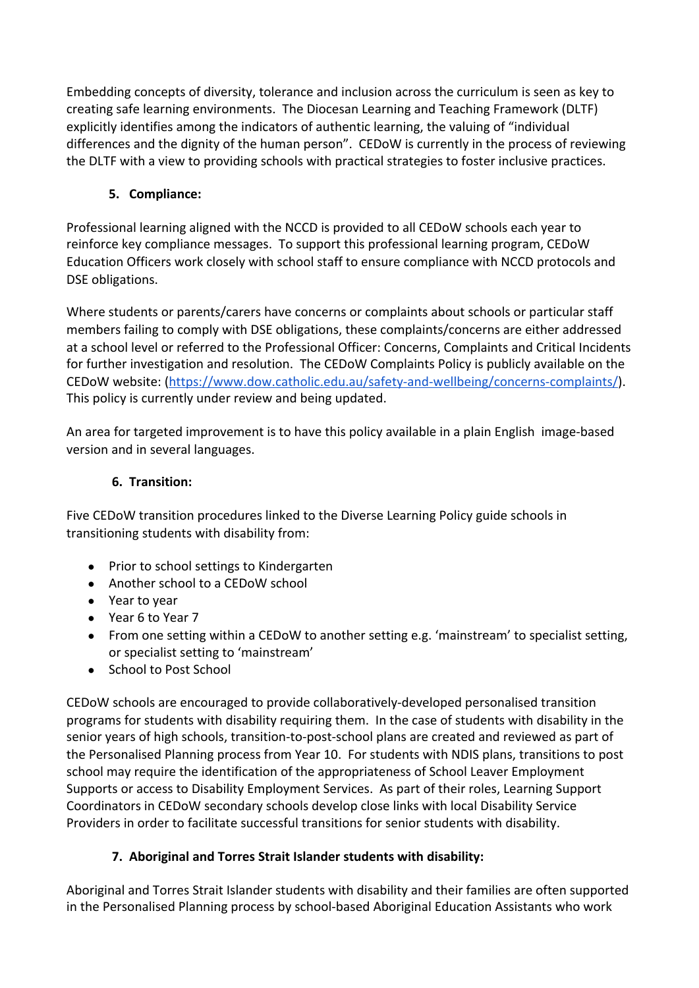Embedding concepts of diversity, tolerance and inclusion across the curriculum is seen as key to creating safe learning environments. The Diocesan Learning and Teaching Framework (DLTF) explicitly identifies among the indicators of authentic learning, the valuing of "individual differences and the dignity of the human person". CEDoW is currently in the process of reviewing the DLTF with a view to providing schools with practical strategies to foster inclusive practices.

# **5. Compliance:**

Professional learning aligned with the NCCD is provided to all CEDoW schools each year to reinforce key compliance messages. To support this professional learning program, CEDoW Education Officers work closely with school staff to ensure compliance with NCCD protocols and DSE obligations.

Where students or parents/carers have concerns or complaints about schools or particular staff members failing to comply with DSE obligations, these complaints/concerns are either addressed at a school level or referred to the Professional Officer: Concerns, Complaints and Critical Incidents for further investigation and resolution. The CEDoW Complaints Policy is publicly available on the CEDoW website: (<https://www.dow.catholic.edu.au/safety-and-wellbeing/concerns-complaints/>). This policy is currently under review and being updated.

An area for targeted improvement is to have this policy available in a plain English image-based version and in several languages.

## **6. Transition:**

Five CEDoW transition procedures linked to the Diverse Learning Policy guide schools in transitioning students with disability from:

- Prior to school settings to Kindergarten
- Another school to a CEDoW school
- Year to year
- Year 6 to Year 7
- From one setting within a CEDoW to another setting e.g. 'mainstream' to specialist setting, or specialist setting to 'mainstream'
- School to Post School

CEDoW schools are encouraged to provide collaboratively-developed personalised transition programs for students with disability requiring them. In the case of students with disability in the senior years of high schools, transition-to-post-school plans are created and reviewed as part of the Personalised Planning process from Year 10. For students with NDIS plans, transitions to post school may require the identification of the appropriateness of School Leaver Employment Supports or access to Disability Employment Services. As part of their roles, Learning Support Coordinators in CEDoW secondary schools develop close links with local Disability Service Providers in order to facilitate successful transitions for senior students with disability.

## **7. Aboriginal and Torres Strait Islander students with disability:**

Aboriginal and Torres Strait Islander students with disability and their families are often supported in the Personalised Planning process by school-based Aboriginal Education Assistants who work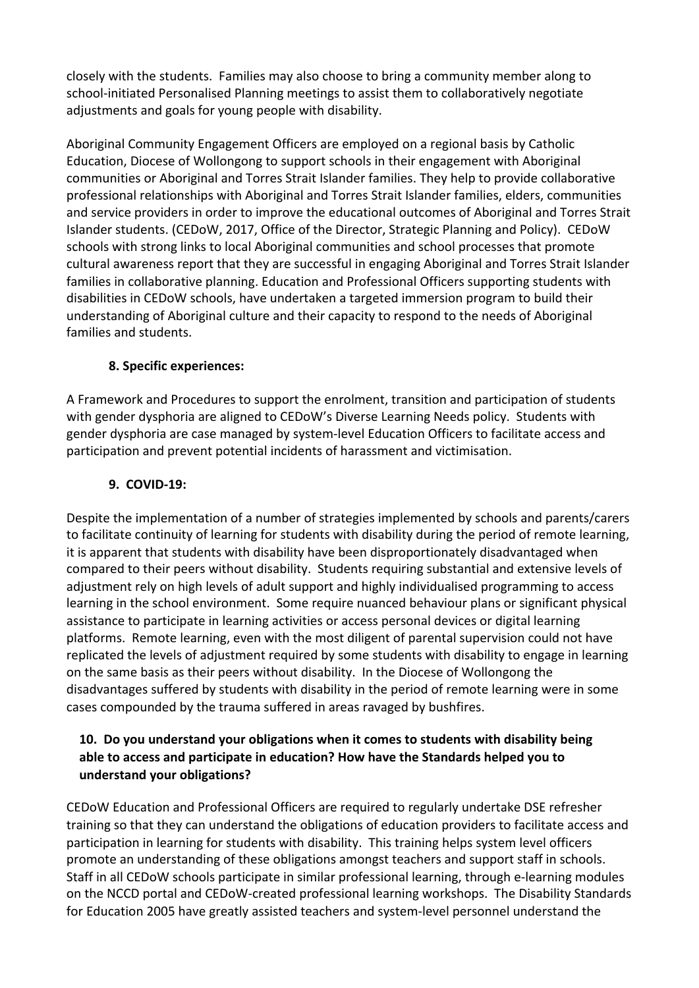closely with the students. Families may also choose to bring a community member along to school-initiated Personalised Planning meetings to assist them to collaboratively negotiate adjustments and goals for young people with disability.

Aboriginal Community Engagement Officers are employed on a regional basis by Catholic Education, Diocese of Wollongong to support schools in their engagement with Aboriginal communities or Aboriginal and Torres Strait Islander families. They help to provide collaborative professional relationships with Aboriginal and Torres Strait Islander families, elders, communities and service providers in order to improve the educational outcomes of Aboriginal and Torres Strait Islander students. (CEDoW, 2017, Office of the Director, Strategic Planning and Policy). CEDoW schools with strong links to local Aboriginal communities and school processes that promote cultural awareness report that they are successful in engaging Aboriginal and Torres Strait Islander families in collaborative planning. Education and Professional Officers supporting students with disabilities in CEDoW schools, have undertaken a targeted immersion program to build their understanding of Aboriginal culture and their capacity to respond to the needs of Aboriginal families and students.

### **8. Specific experiences:**

A Framework and Procedures to support the enrolment, transition and participation of students with gender dysphoria are aligned to CEDoW's Diverse Learning Needs policy. Students with gender dysphoria are case managed by system-level Education Officers to facilitate access and participation and prevent potential incidents of harassment and victimisation.

### **9. COVID-19:**

Despite the implementation of a number of strategies implemented by schools and parents/carers to facilitate continuity of learning for students with disability during the period of remote learning, it is apparent that students with disability have been disproportionately disadvantaged when compared to their peers without disability. Students requiring substantial and extensive levels of adjustment rely on high levels of adult support and highly individualised programming to access learning in the school environment. Some require nuanced behaviour plans or significant physical assistance to participate in learning activities or access personal devices or digital learning platforms. Remote learning, even with the most diligent of parental supervision could not have replicated the levels of adjustment required by some students with disability to engage in learning on the same basis as their peers without disability. In the Diocese of Wollongong the disadvantages suffered by students with disability in the period of remote learning were in some cases compounded by the trauma suffered in areas ravaged by bushfires.

### **10. Do you understand your obligations when it comes to students with disability being able to access and participate in education? How have the Standards helped you to understand your obligations?**

CEDoW Education and Professional Officers are required to regularly undertake DSE refresher training so that they can understand the obligations of education providers to facilitate access and participation in learning for students with disability. This training helps system level officers promote an understanding of these obligations amongst teachers and support staff in schools. Staff in all CEDoW schools participate in similar professional learning, through e-learning modules on the NCCD portal and CEDoW-created professional learning workshops. The Disability Standards for Education 2005 have greatly assisted teachers and system-level personnel understand the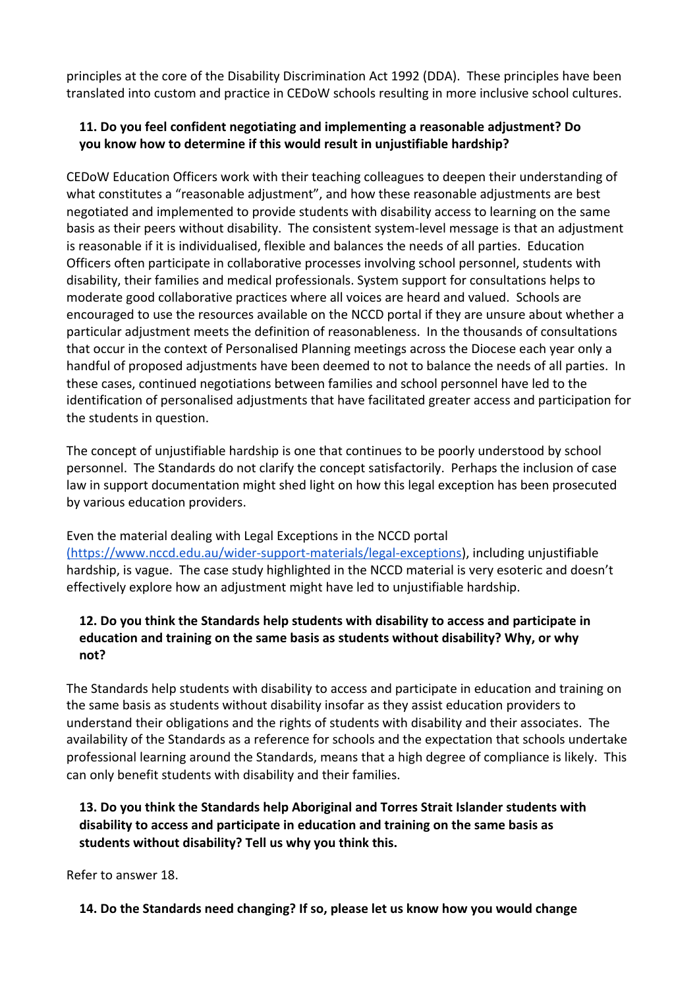principles at the core of the Disability Discrimination Act 1992 (DDA). These principles have been translated into custom and practice in CEDoW schools resulting in more inclusive school cultures.

## **11. Do you feel confident negotiating and implementing a reasonable adjustment? Do you know how to determine if this would result in unjustifiable hardship?**

CEDoW Education Officers work with their teaching colleagues to deepen their understanding of what constitutes a "reasonable adjustment", and how these reasonable adjustments are best negotiated and implemented to provide students with disability access to learning on the same basis as their peers without disability. The consistent system-level message is that an adjustment is reasonable if it is individualised, flexible and balances the needs of all parties. Education Officers often participate in collaborative processes involving school personnel, students with disability, their families and medical professionals. System support for consultations helps to moderate good collaborative practices where all voices are heard and valued. Schools are encouraged to use the resources available on the NCCD portal if they are unsure about whether a particular adjustment meets the definition of reasonableness. In the thousands of consultations that occur in the context of Personalised Planning meetings across the Diocese each year only a handful of proposed adjustments have been deemed to not to balance the needs of all parties. In these cases, continued negotiations between families and school personnel have led to the identification of personalised adjustments that have facilitated greater access and participation for the students in question.

The concept of unjustifiable hardship is one that continues to be poorly understood by school personnel. The Standards do not clarify the concept satisfactorily. Perhaps the inclusion of case law in support documentation might shed light on how this legal exception has been prosecuted by various education providers.

Even the material dealing with Legal Exceptions in the NCCD portal

[\(https://www.nccd.edu.au/wider-support-materials/legal-exceptions\)](https://www.nccd.edu.au/wider-support-materials/legal-exceptions), including unjustifiable hardship, is vague. The case study highlighted in the NCCD material is very esoteric and doesn't effectively explore how an adjustment might have led to unjustifiable hardship.

### **12. Do you think the Standards help students with disability to access and participate in education and training on the same basis as students without disability? Why, or why not?**

The Standards help students with disability to access and participate in education and training on the same basis as students without disability insofar as they assist education providers to understand their obligations and the rights of students with disability and their associates. The availability of the Standards as a reference for schools and the expectation that schools undertake professional learning around the Standards, means that a high degree of compliance is likely. This can only benefit students with disability and their families.

### **13. Do you think the Standards help Aboriginal and Torres Strait Islander students with disability to access and participate in education and training on the same basis as students without disability? Tell us why you think this.**

Refer to answer 18.

 **14. Do the Standards need changing? If so, please let us know how you would change**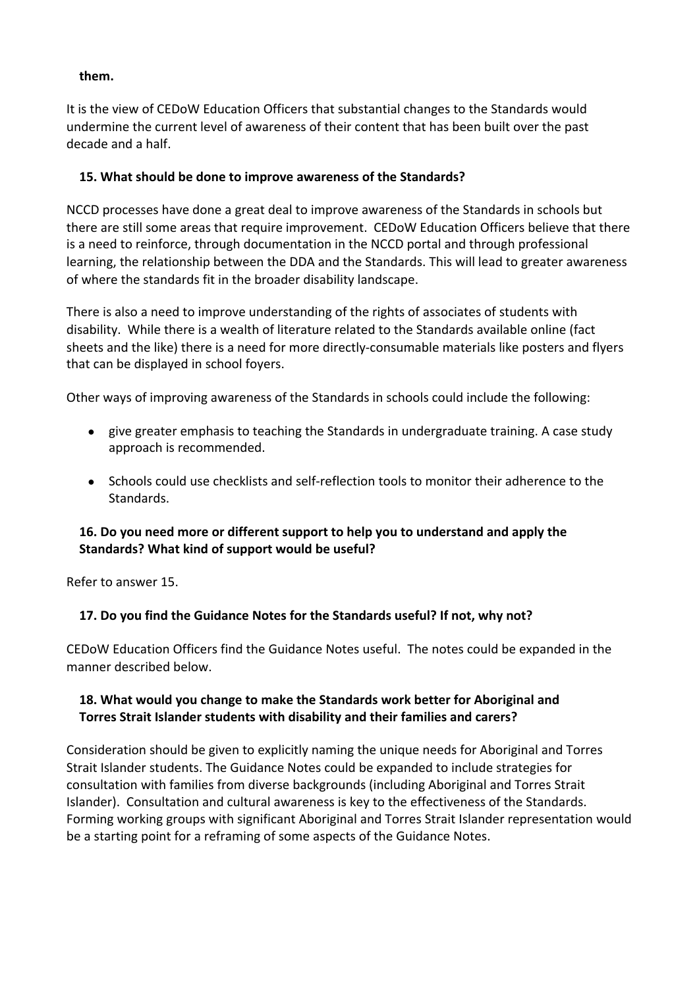#### **them.**

It is the view of CEDoW Education Officers that substantial changes to the Standards would undermine the current level of awareness of their content that has been built over the past decade and a half.

#### **15. What should be done to improve awareness of the Standards?**

NCCD processes have done a great deal to improve awareness of the Standards in schools but there are still some areas that require improvement. CEDoW Education Officers believe that there is a need to reinforce, through documentation in the NCCD portal and through professional learning, the relationship between the DDA and the Standards. This will lead to greater awareness of where the standards fit in the broader disability landscape.

There is also a need to improve understanding of the rights of associates of students with disability. While there is a wealth of literature related to the Standards available online (fact sheets and the like) there is a need for more directly-consumable materials like posters and flyers that can be displayed in school foyers.

Other ways of improving awareness of the Standards in schools could include the following:

- give greater emphasis to teaching the Standards in undergraduate training. A case study approach is recommended.
- Schools could use checklists and self-reflection tools to monitor their adherence to the Standards.

#### **16. Do you need more or different support to help you to understand and apply the Standards? What kind of support would be useful?**

Refer to answer 15.

#### **17. Do you find the Guidance Notes for the Standards useful? If not, why not?**

CEDoW Education Officers find the Guidance Notes useful. The notes could be expanded in the manner described below.

#### **18. What would you change to make the Standards work better for Aboriginal and Torres Strait Islander students with disability and their families and carers?**

Consideration should be given to explicitly naming the unique needs for Aboriginal and Torres Strait Islander students. The Guidance Notes could be expanded to include strategies for consultation with families from diverse backgrounds (including Aboriginal and Torres Strait Islander). Consultation and cultural awareness is key to the effectiveness of the Standards. Forming working groups with significant Aboriginal and Torres Strait Islander representation would be a starting point for a reframing of some aspects of the Guidance Notes.